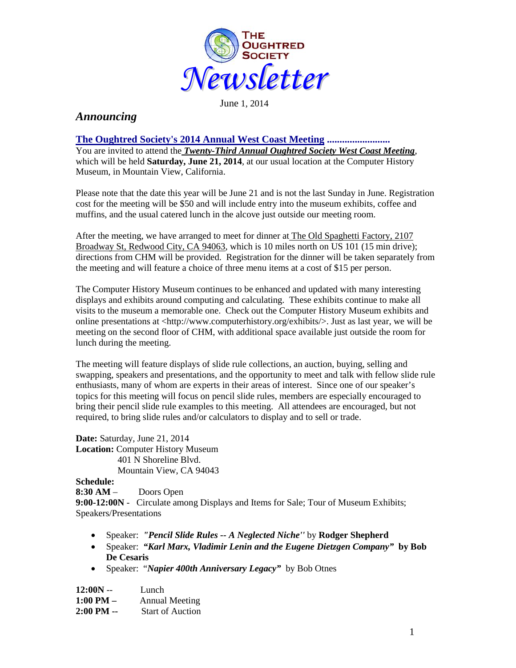

June 1, 2014

# *Announcing*

## **The Oughtred Society's 2014 Annual West Coast Meeting .........................**

You are invited to attend the *Twenty-Third Annual Oughtred Society West Coast Meeting*, which will be held **Saturday, June 21, 2014**, at our usual location at the Computer History Museum, in Mountain View, California.

Please note that the date this year will be June 21 and is not the last Sunday in June. Registration cost for the meeting will be \$50 and will include entry into the museum exhibits, coffee and muffins, and the usual catered lunch in the alcove just outside our meeting room.

After the meeting, we have arranged to meet for dinner at The Old Spaghetti Factory, 2107 Broadway St, Redwood City, CA 94063, which is 10 miles north on US 101 (15 min drive); directions from CHM will be provided. Registration for the dinner will be taken separately from the meeting and will feature a choice of three menu items at a cost of \$15 per person.

The Computer History Museum continues to be enhanced and updated with many interesting displays and exhibits around computing and calculating. These exhibits continue to make all visits to the museum a memorable one. Check out the Computer History Museum exhibits and online presentations at <http://www.computerhistory.org/exhibits/>. Just as last year, we will be meeting on the second floor of CHM, with additional space available just outside the room for lunch during the meeting.

The meeting will feature displays of slide rule collections, an auction, buying, selling and swapping, speakers and presentations, and the opportunity to meet and talk with fellow slide rule enthusiasts, many of whom are experts in their areas of interest. Since one of our speaker's topics for this meeting will focus on pencil slide rules, members are especially encouraged to bring their pencil slide rule examples to this meeting. All attendees are encouraged, but not required, to bring slide rules and/or calculators to display and to sell or trade.

**Date:** Saturday, June 21, 2014 **Location:** Computer History Museum 401 N Shoreline Blvd. Mountain View, CA 94043

## **Schedule:**

**8:30 AM** – Doors Open **9:00-12:00N** - Circulate among Displays and Items for Sale; Tour of Museum Exhibits; Speakers/Presentations

- Speaker: *"Pencil Slide Rules -- A Neglected Niche''* by **Rodger Shepherd**
- Speaker: *"Karl Marx, Vladimir Lenin and the Eugene Dietzgen Company"* **by Bob De Cesaris**
- Speaker: "*Napier 400th Anniversary Legacy"* by Bob Otnes

| $12:00N -$          | Lunch                   |
|---------------------|-------------------------|
| $1:00 \text{ PM} -$ | <b>Annual Meeting</b>   |
| $2:00$ PM $-$       | <b>Start of Auction</b> |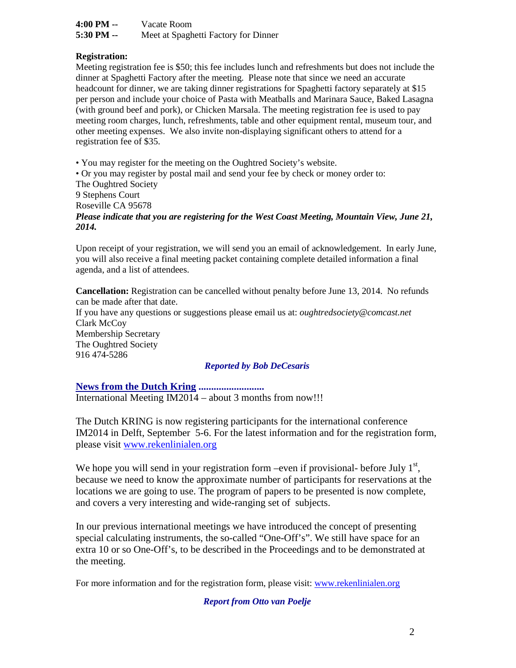| 4:00 PM -- | Vacate Room                          |
|------------|--------------------------------------|
| 5:30 PM -- | Meet at Spaghetti Factory for Dinner |

#### **Registration:**

Meeting registration fee is \$50; this fee includes lunch and refreshments but does not include the dinner at Spaghetti Factory after the meeting. Please note that since we need an accurate headcount for dinner, we are taking dinner registrations for Spaghetti factory separately at \$15 per person and include your choice of Pasta with Meatballs and Marinara Sauce, Baked Lasagna (with ground beef and pork), or Chicken Marsala. The meeting registration fee is used to pay meeting room charges, lunch, refreshments, table and other equipment rental, museum tour, and other meeting expenses. We also invite non-displaying significant others to attend for a registration fee of \$35.

• You may register for the meeting on the Oughtred Society's website.

• Or you may register by postal mail and send your fee by check or money order to: The Oughtred Society 9 Stephens Court Roseville CA 95678 *Please indicate that you are registering for the West Coast Meeting, Mountain View, June 21, 2014.*

Upon receipt of your registration, we will send you an email of acknowledgement. In early June, you will also receive a final meeting packet containing complete detailed information a final agenda, and a list of attendees.

**Cancellation:** Registration can be cancelled without penalty before June 13, 2014. No refunds can be made after that date.

If you have any questions or suggestions please email us at: *oughtredsociety@comcast.net* Clark McCoy Membership Secretary The Oughtred Society 916 474-5286

#### *Reported by Bob DeCesaris*

## **News from the Dutch Kring ..........................**

International Meeting IM2014 – about 3 months from now!!!

The Dutch KRING is now registering participants for the international conference IM2014 in Delft, September 5-6. For the latest information and for the registration form, please visit [www.rekenlinialen.org](http://www.google.com/url?q=http%3A%2F%2Fwww.rekenlinialen.org%2F&sa=D&sntz=1&usg=AFQjCNGmICQIKoCsMhXtSy37CgTYS8aerQ)

We hope you will send in your registration form –even if provisional- before July  $1<sup>st</sup>$ , because we need to know the approximate number of participants for reservations at the locations we are going to use. The program of papers to be presented is now complete, and covers a very interesting and wide-ranging set of subjects.

In our previous international meetings we have introduced the concept of presenting special calculating instruments, the so-called "One-Off's". We still have space for an extra 10 or so One-Off's, to be described in the Proceedings and to be demonstrated at the meeting.

For more information and for the registration form, please visit: [www.rekenlinialen.org](http://www.rekenlinialen.org/)

*Report from Otto van Poelje*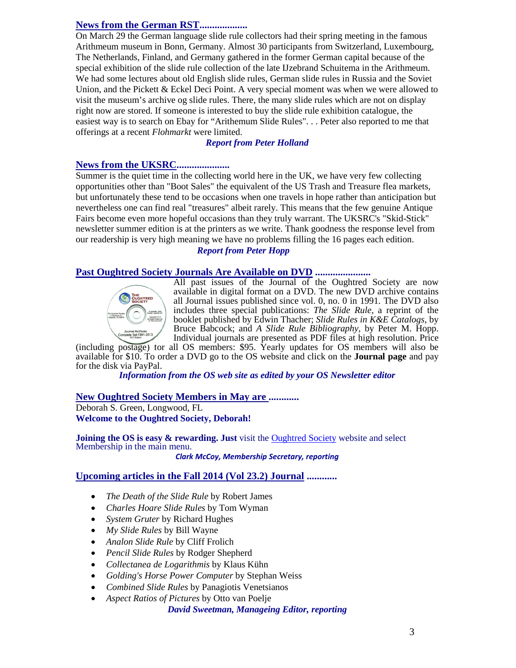## **News from the German RST...................**

On March 29 the German language slide rule collectors had their spring meeting in the famous Arithmeum museum in Bonn, Germany. Almost 30 participants from Switzerland, Luxembourg, The Netherlands, Finland, and Germany gathered in the former German capital because of the special exhibition of the slide rule collection of the late IJzebrand Schuitema in the Arithmeum. We had some lectures about old English slide rules, German slide rules in Russia and the Soviet Union, and the Pickett & Eckel Deci Point. A very special moment was when we were allowed to visit the museum's archive og slide rules. There, the many slide rules which are not on display right now are stored. If someone is interested to buy the slide rule exhibition catalogue, the easiest way is to search on Ebay for "Arithemum Slide Rules". . . Peter also reported to me that offerings at a recent *Flohmarkt* were limited.

## *Report from Peter Holland*

#### **News from the UKSRC.....................**

Summer is the quiet time in the collecting world here in the UK, we have very few collecting opportunities other than "Boot Sales" the equivalent of the US Trash and Treasure flea markets, but unfortunately these tend to be occasions when one travels in hope rather than anticipation but nevertheless one can find real "treasures" albeit rarely. This means that the few genuine Antique Fairs become even more hopeful occasions than they truly warrant. The UKSRC's "Skid-Stick" newsletter summer edition is at the printers as we write. Thank goodness the response level from our readership is very high meaning we have no problems filling the 16 pages each edition.

## *Report from Peter Hopp*

#### **Past Oughtred Society Journals Are Available on DVD ......................**



All past issues of the Journal of the Oughtred Society are now available in digital format on a DVD. The new DVD archive contains all Journal issues published since vol. 0, no. 0 in 1991. The DVD also includes three special publications: *The Slide Rule,* a reprint of the booklet published by Edwin Thacher; *Slide Rules in K&E Catalogs,* by Bruce Babcock; and *A Slide Rule Bibliography*, by Peter M. Hopp. Individual journals are presented as PDF files at high resolution. Price

(including postage) for all OS members: \$95. Yearly updates for OS members will also be available for \$10. To order a DVD go to the OS website and click on the **[Journal page](http://www.oughtred.org/journal.shtml%23dvd)** and pay

Information from the OS web site as edited by your OS Newsletter editor

#### **New Oughtred Society Members in May are ............**

Deborah S. Green, Longwood, FL **Welcome to the Oughtred Society, Deborah!** 

**Joining the OS is easy & rewarding. Just** visit the [Oughtred Society](http://www.oughtred.org/) website and select Membership in the main menu.

*Clark McCoy, Membership Secretary, reporting*

## **Upcoming articles in the Fall 2014 (Vol 23.2) Journal ............**

- *The Death of the Slide Rule* by Robert James
- *Charles Hoare Slide Rules* by Tom Wyman
- *System Gruter* by Richard Hughes
- *My Slide Rules* by Bill Wayne
- *Analon Slide Rule* by Cliff Frolich
- *Pencil Slide Rules* by Rodger Shepherd
- *Collectanea de Logarithmis* by Klaus Kühn
- *Golding's Horse Power Computer* by Stephan Weiss
- *Combined Slide Rules* by Panagiotis Venetsianos
- *Aspect Ratios of Pictures* by Otto van Poelje

#### *David Sweetman, Manageing Editor, reporting*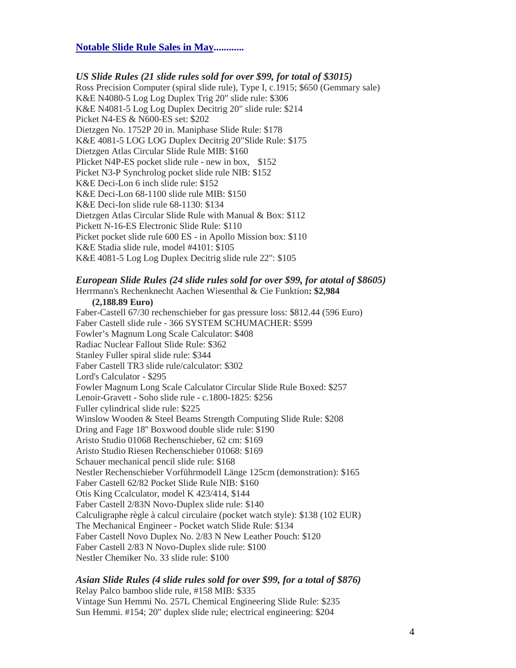#### **Notable Slide Rule Sales in May............**

#### *US Slide Rules (21 slide rules sold for over \$99, for total of \$3015)*

Ross Precision Computer (spiral slide rule), Type I, c.1915; \$650 (Gemmary sale) K&E N4080-5 Log Log Duplex Trig 20" slide rule: \$306 K&E N4081-5 Log Log Duplex Decitrig 20" slide rule: \$214 Picket N4-ES & N600-ES set: \$202 Dietzgen No. 1752P 20 in. Maniphase Slide Rule: \$178 K&E 4081-5 LOG LOG Duplex Decitrig 20"Slide Rule: \$175 Dietzgen Atlas Circular Slide Rule MIB: \$160 PIicket N4P-ES pocket slide rule - new in box, \$152 Picket N3-P Synchrolog pocket slide rule NIB: \$152 K&E Deci-Lon 6 inch slide rule: \$152 K&E Deci-Lon 68-1100 slide rule MIB: \$150 K&E Deci-Ion slide rule 68-1130: \$134 Dietzgen Atlas Circular Slide Rule with Manual & Box: \$112 Pickett N-16-ES Electronic Slide Rule: \$110 Picket pocket slide rule 600 ES - in Apollo Mission box: \$110 K&E Stadia slide rule, model #4101: \$105 K&E 4081-5 Log Log Duplex Decitrig slide rule 22": \$105

#### *European Slide Rules (24 slide rules sold for over \$99, for atotal of \$8605)*

Herrmann's Rechenknecht Aachen Wiesenthal & Cie Funktion**: \$2,984 (2,188.89 Euro)** Faber-Castell 67/30 rechenschieber for gas pressure loss: \$812.44 (596 Euro) Faber Castell slide rule - 366 SYSTEM SCHUMACHER: \$599 Fowler's Magnum Long Scale Calculator: \$408 Radiac Nuclear Fallout Slide Rule: \$362 Stanley Fuller spiral slide rule: \$344 Faber Castell TR3 slide rule/calculator: \$302 Lord's Calculator - \$295 Fowler Magnum Long Scale Calculator Circular Slide Rule Boxed: \$257 Lenoir-Gravett - Soho slide rule - c.1800-1825: \$256 Fuller cylindrical slide rule: \$225 Winslow Wooden & Steel Beams Strength Computing Slide Rule: \$208 Dring and Fage 18'' Boxwood double slide rule: \$190 Aristo Studio 01068 Rechenschieber, 62 cm: \$169 Aristo Studio Riesen Rechenschieber 01068: \$169 Schauer mechanical pencil slide rule: \$168 Nestler Rechenschieber Vorführmodell Länge 125cm (demonstration): \$165 Faber Castell 62/82 Pocket Slide Rule NIB: \$160 Otis King Ccalculator, model K 423/414, \$144 Faber Castell 2/83N Novo-Duplex slide rule: \$140 Calculigraphe règle à calcul circulaire (pocket watch style): \$138 (102 EUR) The Mechanical Engineer - Pocket watch Slide Rule: \$134 Faber Castell Novo Duplex No. 2/83 N New Leather Pouch: \$120 Faber Castell 2/83 N Novo-Duplex slide rule: \$100 Nestler Chemiker No. 33 slide rule: \$100

# *Asian Slide Rules (4 slide rules sold for over \$99, for a total of \$876)*

Relay Palco bamboo slide rule, #158 MIB: \$335 Vintage Sun Hemmi No. 257L Chemical Engineering Slide Rule: \$235 Sun Hemmi. #154; 20" duplex slide rule; electrical engineering: \$204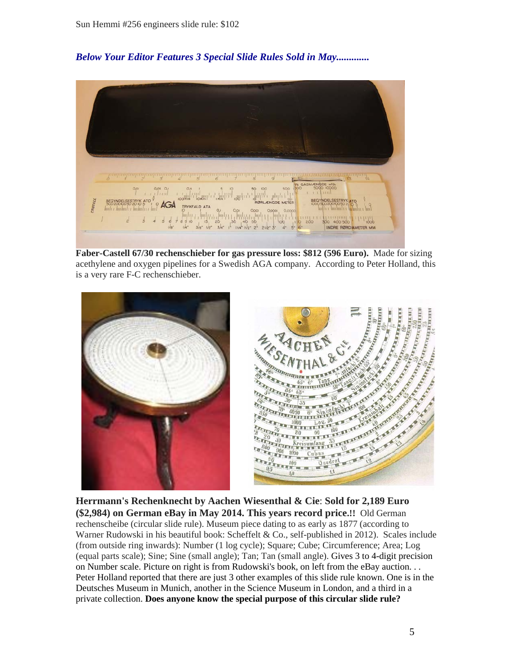# *Below Your Editor Features 3 Special Slide Rules Sold in May.............*



**Faber-Castell 67/30 rechenschieber for gas pressure loss: \$812 (596 Euro).** Made for sizing acethylene and oxygen pipelines for a Swedish AGA company. According to Peter Holland, this is a very rare F-C rechenschieber.



**Herrmann's Rechenknecht by Aachen Wiesenthal & Cie**: **Sold for 2,189 Euro (\$2,984) on German eBay in May 2014. This years record price.!!** Old German rechenscheibe (circular slide rule). Museum piece dating to as early as 1877 (according to Warner Rudowski in his beautiful book: Scheffelt & Co., self-published in 2012). Scales include (from outside ring inwards): Number (1 log cycle); Square; Cube; Circumference; Area; Log (equal parts scale); Sine; Sine (small angle); Tan; Tan (small angle). Gives 3 to 4-digit precision on Number scale. Picture on right is from Rudowski's book, on left from the eBay auction. . . Peter Holland reported that there are just 3 other examples of this slide rule known. One is in the Deutsches Museum in Munich, another in the Science Museum in London, and a third in a private collection. **Does anyone know the special purpose of this circular slide rule?**